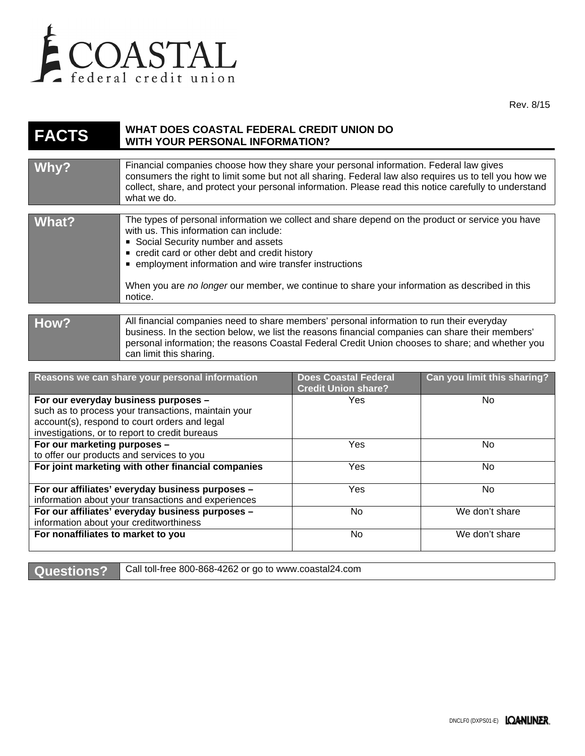

Rev. 8/15

## **FACTS WHAT DOES COASTAL FEDERAL CREDIT UNION DO WITH YOUR PERSONAL INFORMATION?** Why? **Financial companies choose how they share your personal information. Federal law gives** consumers the right to limit some but not all sharing. Federal law also requires us to tell you how we collect, share, and protect your personal information. Please read this notice carefully to understand what we do. What? The types of personal information we collect and share depend on the product or service you have with us. This information can include: ■ Social Security number and assets credit card or other debt and credit history employment information and wire transfer instructions When you are *no longer* our member, we continue to share your information as described in this notice.

| How? | All financial companies need to share members' personal information to run their everyday        |
|------|--------------------------------------------------------------------------------------------------|
|      | business. In the section below, we list the reasons financial companies can share their members' |
|      | personal information: the reasons Coastal Federal Credit Union chooses to share: and whether you |
|      | can limit this sharing.                                                                          |

| Reasons we can share your personal information                                              | <b>Does Coastal Federal</b><br><b>Credit Union share?</b> | Can you limit this sharing? |
|---------------------------------------------------------------------------------------------|-----------------------------------------------------------|-----------------------------|
| For our everyday business purposes -<br>such as to process your transactions, maintain your | <b>Yes</b>                                                | No.                         |
| account(s), respond to court orders and legal                                               |                                                           |                             |
| investigations, or to report to credit bureaus                                              |                                                           |                             |
| For our marketing purposes -                                                                | Yes                                                       | No.                         |
| to offer our products and services to you                                                   |                                                           |                             |
| For joint marketing with other financial companies                                          | Yes                                                       | No.                         |
| For our affiliates' everyday business purposes -                                            | Yes                                                       | No.                         |
| information about your transactions and experiences                                         |                                                           |                             |
| For our affiliates' everyday business purposes -                                            | No.                                                       | We don't share              |
| information about your creditworthiness                                                     |                                                           |                             |
| For nonaffiliates to market to you                                                          | No                                                        | We don't share              |

**Questions?** Call toll-free 800-868-4262 or go to www.coastal24.com